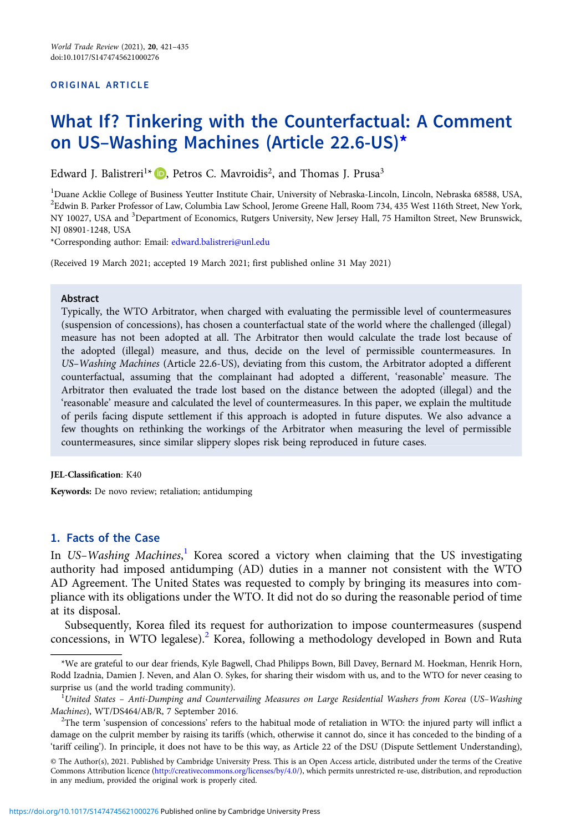#### ORIGINAL ARTICLE

# What If? Tinkering with the Counterfactual: A Comment on US–Washing Machines (Article 22.6-US)\*

Edward J. Balistreri<sup>1\*</sup>  $\Box$ [,](https://orcid.org/0000-0001-6740-0066) Petros C. Mavroidis<sup>2</sup>, and Thomas J. Prusa<sup>3</sup>

<sup>1</sup>Duane Acklie College of Business Yeutter Institute Chair, University of Nebraska-Lincoln, Lincoln, Nebraska 68588, USA,  $^2$ Edwin B. Parker Professor of Law, Columbia Law School, Jerome Greene Hall, Room 734, 435 West 116th Street, New York, NY 10027, USA and <sup>3</sup>Department of Economics, Rutgers University, New Jersey Hall, 75 Hamilton Street, New Brunswick, NJ 08901-1248, USA

\*Corresponding author: Email: [edward.balistreri@unl.edu](mailto:edward.balistreri@unl.edu)

(Received 19 March 2021; accepted 19 March 2021; first published online 31 May 2021)

## Abstract

Typically, the WTO Arbitrator, when charged with evaluating the permissible level of countermeasures (suspension of concessions), has chosen a counterfactual state of the world where the challenged (illegal) measure has not been adopted at all. The Arbitrator then would calculate the trade lost because of the adopted (illegal) measure, and thus, decide on the level of permissible countermeasures. In US–Washing Machines (Article 22.6-US), deviating from this custom, the Arbitrator adopted a different counterfactual, assuming that the complainant had adopted a different, 'reasonable' measure. The Arbitrator then evaluated the trade lost based on the distance between the adopted (illegal) and the 'reasonable' measure and calculated the level of countermeasures. In this paper, we explain the multitude of perils facing dispute settlement if this approach is adopted in future disputes. We also advance a few thoughts on rethinking the workings of the Arbitrator when measuring the level of permissible countermeasures, since similar slippery slopes risk being reproduced in future cases.

## JEL-Classification: K40

Keywords: De novo review; retaliation; antidumping

# 1. Facts of the Case

In US-Washing Machines,<sup>1</sup> Korea scored a victory when claiming that the US investigating authority had imposed antidumping (AD) duties in a manner not consistent with the WTO AD Agreement. The United States was requested to comply by bringing its measures into compliance with its obligations under the WTO. It did not do so during the reasonable period of time at its disposal.

Subsequently, Korea filed its request for authorization to impose countermeasures (suspend concessions, in WTO legalese).<sup>2</sup> Korea, following a methodology developed in Bown and Ruta

<sup>\*</sup>We are grateful to our dear friends, Kyle Bagwell, Chad Philipps Bown, Bill Davey, Bernard M. Hoekman, Henrik Horn, Rodd Izadnia, Damien J. Neven, and Alan O. Sykes, for sharing their wisdom with us, and to the WTO for never ceasing to surprise us (and the world trading community).

 ${}^{1}$ United States – Anti-Dumping and Countervailing Measures on Large Residential Washers from Korea (US–Washing Machines), WT/DS464/AB/R, 7 September 2016. <sup>2</sup>

<sup>&</sup>lt;sup>2</sup>The term 'suspension of concessions' refers to the habitual mode of retaliation in WTO: the injured party will inflict a damage on the culprit member by raising its tariffs (which, otherwise it cannot do, since it has conceded to the binding of a 'tariff ceiling'). In principle, it does not have to be this way, as Article 22 of the DSU (Dispute Settlement Understanding),

<sup>©</sup> The Author(s), 2021. Published by Cambridge University Press. This is an Open Access article, distributed under the terms of the Creative Commons Attribution licence [\(http://creativecommons.org/licenses/by/4.0/](http://creativecommons.org/licenses/by/4.0/)), which permits unrestricted re-use, distribution, and reproduction in any medium, provided the original work is properly cited.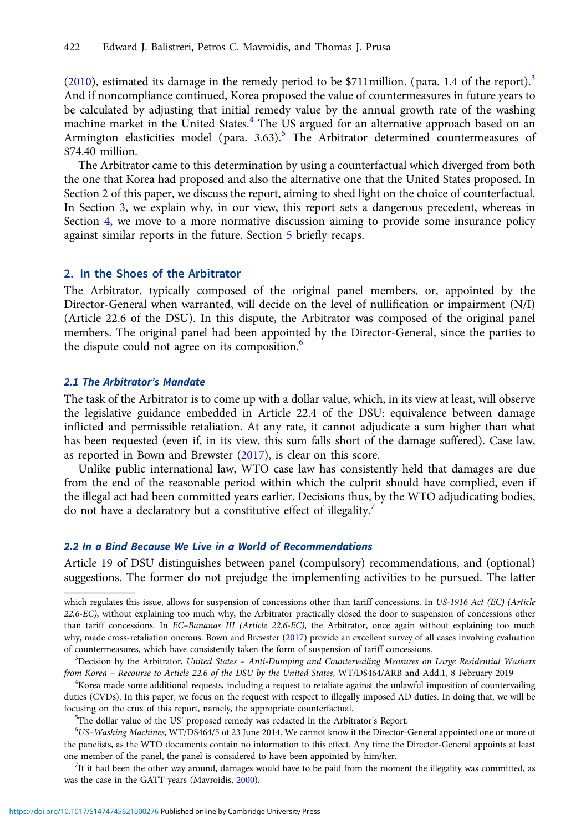[\(2010](#page-14-0)), estimated its damage in the remedy period to be \$711 million. (para. 1.4 of the report).<sup>3</sup> And if noncompliance continued, Korea proposed the value of countermeasures in future years to be calculated by adjusting that initial remedy value by the annual growth rate of the washing machine market in the United States. $4$  The US argued for an alternative approach based on an Armington elasticities model (para.  $3.63$ ).<sup>5</sup> The Arbitrator determined countermeasures of \$74.40 million.

The Arbitrator came to this determination by using a counterfactual which diverged from both the one that Korea had proposed and also the alternative one that the United States proposed. In Section 2 of this paper, we discuss the report, aiming to shed light on the choice of counterfactual. In Section [3,](#page-9-0) we explain why, in our view, this report sets a dangerous precedent, whereas in Section [4,](#page-12-0) we move to a more normative discussion aiming to provide some insurance policy against similar reports in the future. Section [5](#page-13-0) briefly recaps.

# 2. In the Shoes of the Arbitrator

The Arbitrator, typically composed of the original panel members, or, appointed by the Director-General when warranted, will decide on the level of nullification or impairment (N/I) (Article 22.6 of the DSU). In this dispute, the Arbitrator was composed of the original panel members. The original panel had been appointed by the Director-General, since the parties to the dispute could not agree on its composition.<sup>6</sup>

# 2.1 The Arbitrator's Mandate

The task of the Arbitrator is to come up with a dollar value, which, in its view at least, will observe the legislative guidance embedded in Article 22.4 of the DSU: equivalence between damage inflicted and permissible retaliation. At any rate, it cannot adjudicate a sum higher than what has been requested (even if, in its view, this sum falls short of the damage suffered). Case law, as reported in Bown and Brewster ([2017\)](#page-14-0), is clear on this score.

Unlike public international law, WTO case law has consistently held that damages are due from the end of the reasonable period within which the culprit should have complied, even if the illegal act had been committed years earlier. Decisions thus, by the WTO adjudicating bodies, do not have a declaratory but a constitutive effect of illegality.<sup>7</sup>

# 2.2 In a Bind Because We Live in a World of Recommendations

Article 19 of DSU distinguishes between panel (compulsory) recommendations, and (optional) suggestions. The former do not prejudge the implementing activities to be pursued. The latter

 $K$ orea made some additional requests, including a request to retaliate against the unlawful imposition of countervailing duties (CVDs). In this paper, we focus on the request with respect to illegally imposed AD duties. In doing that, we will be focusing on the crux of this report, namely, the appropriate counterfactual.

 $5$ The dollar value of the US' proposed remedy was redacted in the Arbitrator's Report.

 $6$ US–Washing Machines, WT/DS464/5 of 23 June 2014. We cannot know if the Director-General appointed one or more of the panelists, as the WTO documents contain no information to this effect. Any time the Director-General appoints at least one member of the panel, the panel is considered to have been appointed by him/her. <sup>7</sup>

 $7$ If it had been the other way around, damages would have to be paid from the moment the illegality was committed, as was the case in the GATT years (Mavroidis, [2000](#page-14-0)).

which regulates this issue, allows for suspension of concessions other than tariff concessions. In US-1916 Act (EC) (Article 22.6-EC), without explaining too much why, the Arbitrator practically closed the door to suspension of concessions other than tariff concessions. In EC-Bananas III (Article 22.6-EC), the Arbitrator, once again without explaining too much why, made cross-retaliation onerous. Bown and Brewster [\(2017\)](#page-14-0) provide an excellent survey of all cases involving evaluation of countermeasures, which have consistently taken the form of suspension of tariff concessions.

 ${}^{3}$ Decision by the Arbitrator, United States – Anti-Dumping and Countervailing Measures on Large Residential Washers from Korea - Recourse to Article 22.6 of the DSU by the United States, WT/DS464/ARB and Add.1, 8 February 2019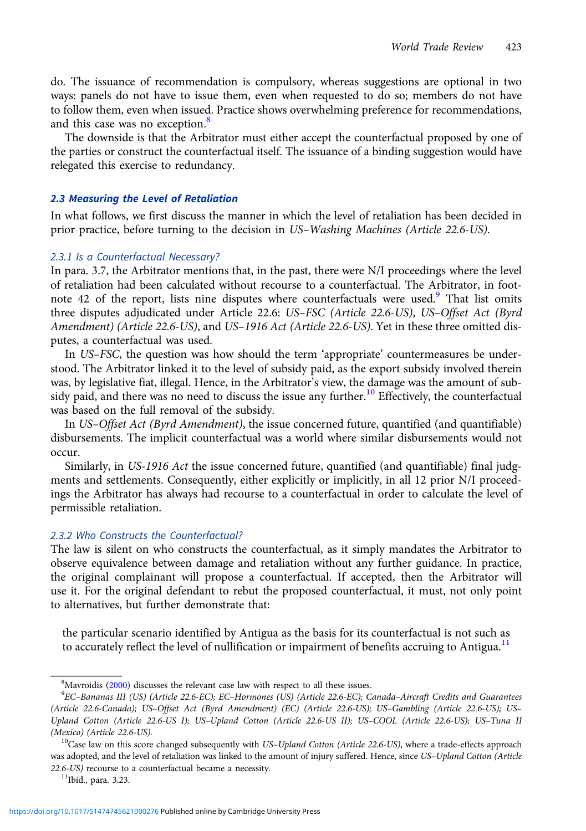do. The issuance of recommendation is compulsory, whereas suggestions are optional in two ways: panels do not have to issue them, even when requested to do so; members do not have to follow them, even when issued. Practice shows overwhelming preference for recommendations, and this case was no exception.<sup>8</sup>

The downside is that the Arbitrator must either accept the counterfactual proposed by one of the parties or construct the counterfactual itself. The issuance of a binding suggestion would have relegated this exercise to redundancy.

## 2.3 Measuring the Level of Retaliation

In what follows, we first discuss the manner in which the level of retaliation has been decided in prior practice, before turning to the decision in US–Washing Machines (Article 22.6-US).

## 2.3.1 Is a Counterfactual Necessary?

In para. 3.7, the Arbitrator mentions that, in the past, there were N/I proceedings where the level of retaliation had been calculated without recourse to a counterfactual. The Arbitrator, in footnote 42 of the report, lists nine disputes where counterfactuals were used.<sup>9</sup> That list omits three disputes adjudicated under Article 22.6: US–FSC (Article 22.6-US), US–Offset Act (Byrd Amendment) (Article 22.6-US), and US–1916 Act (Article 22.6-US). Yet in these three omitted disputes, a counterfactual was used.

In US–FSC, the question was how should the term 'appropriate' countermeasures be understood. The Arbitrator linked it to the level of subsidy paid, as the export subsidy involved therein was, by legislative fiat, illegal. Hence, in the Arbitrator's view, the damage was the amount of subsidy paid, and there was no need to discuss the issue any further.<sup>10</sup> Effectively, the counterfactual was based on the full removal of the subsidy.

In US–Offset Act (Byrd Amendment), the issue concerned future, quantified (and quantifiable) disbursements. The implicit counterfactual was a world where similar disbursements would not occur.

Similarly, in US-1916 Act the issue concerned future, quantified (and quantifiable) final judgments and settlements. Consequently, either explicitly or implicitly, in all 12 prior N/I proceedings the Arbitrator has always had recourse to a counterfactual in order to calculate the level of permissible retaliation.

# 2.3.2 Who Constructs the Counterfactual?

The law is silent on who constructs the counterfactual, as it simply mandates the Arbitrator to observe equivalence between damage and retaliation without any further guidance. In practice, the original complainant will propose a counterfactual. If accepted, then the Arbitrator will use it. For the original defendant to rebut the proposed counterfactual, it must, not only point to alternatives, but further demonstrate that:

the particular scenario identified by Antigua as the basis for its counterfactual is not such as to accurately reflect the level of nullification or impairment of benefits accruing to Antigua.<sup>11</sup>

<sup>&</sup>lt;sup>8</sup>Mavroidis ([2000](#page-14-0)) discusses the relevant case law with respect to all these issues.<br><sup>9</sup>EC-Bananas III (US) (Article 226-EC): EC-Harmanes (US) (Article 226-EC): C

<sup>&</sup>lt;sup>9</sup>EC-Bananas III (US) (Article 22.6-EC); EC-Hormones (US) (Article 22.6-EC); Canada-Aircraft Credits and Guarantees (Article 22.6-Canada); US–Offset Act (Byrd Amendment) (EC) (Article 22.6-US); US–Gambling (Article 22.6-US); US– Upland Cotton (Article 22.6-US I); US–Upland Cotton (Article 22.6-US II); US–COOL (Article 22.6-US); US–Tuna II (Mexico) (Article 22.6-US).<br><sup>10</sup>Case law on this score changed subsequently with US–Upland Cotton (Article 22.6-US), where a trade-effects approach

was adopted, and the level of retaliation was linked to the amount of injury suffered. Hence, since US–Upland Cotton (Article 22.6-US) recourse to a counterfactual became a necessity.  $11$ Ibid., para. 3.23.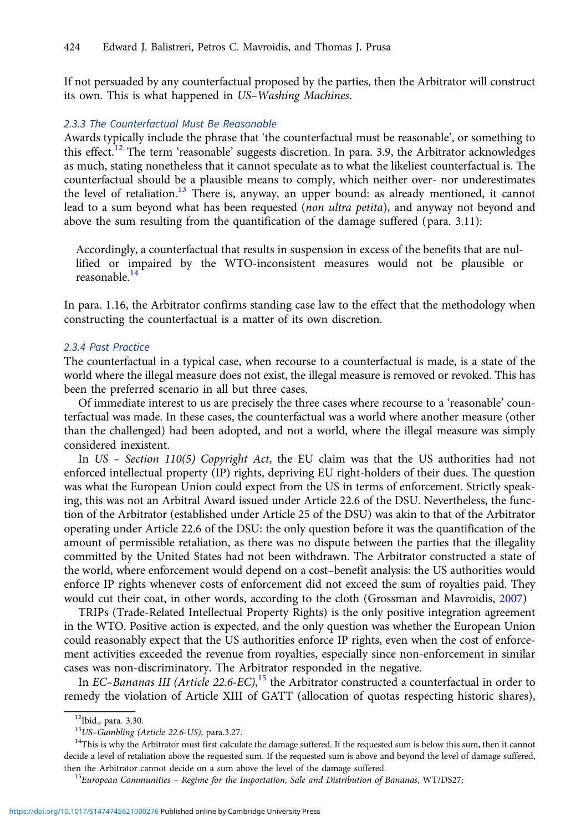If not persuaded by any counterfactual proposed by the parties, then the Arbitrator will construct its own. This is what happened in US–Washing Machines.

## 2.3.3 The Counterfactual Must Be Reasonable

Awards typically include the phrase that 'the counterfactual must be reasonable', or something to this effect.<sup>12</sup> The term 'reasonable' suggests discretion. In para. 3.9, the Arbitrator acknowledges as much, stating nonetheless that it cannot speculate as to what the likeliest counterfactual is. The counterfactual should be a plausible means to comply, which neither over- nor underestimates the level of retaliation.<sup>13</sup> There is, anyway, an upper bound: as already mentioned, it cannot lead to a sum beyond what has been requested (non ultra petita), and anyway not beyond and above the sum resulting from the quantification of the damage suffered (para. 3.11):

Accordingly, a counterfactual that results in suspension in excess of the benefits that are nullified or impaired by the WTO-inconsistent measures would not be plausible or reasonable.<sup>14</sup>

In para. 1.16, the Arbitrator confirms standing case law to the effect that the methodology when constructing the counterfactual is a matter of its own discretion.

#### 2.3.4 Past Practice

The counterfactual in a typical case, when recourse to a counterfactual is made, is a state of the world where the illegal measure does not exist, the illegal measure is removed or revoked. This has been the preferred scenario in all but three cases.

Of immediate interest to us are precisely the three cases where recourse to a 'reasonable' counterfactual was made. In these cases, the counterfactual was a world where another measure (other than the challenged) had been adopted, and not a world, where the illegal measure was simply considered inexistent.

In US – Section 110(5) Copyright Act, the EU claim was that the US authorities had not enforced intellectual property (IP) rights, depriving EU right-holders of their dues. The question was what the European Union could expect from the US in terms of enforcement. Strictly speaking, this was not an Arbitral Award issued under Article 22.6 of the DSU. Nevertheless, the function of the Arbitrator (established under Article 25 of the DSU) was akin to that of the Arbitrator operating under Article 22.6 of the DSU: the only question before it was the quantification of the amount of permissible retaliation, as there was no dispute between the parties that the illegality committed by the United States had not been withdrawn. The Arbitrator constructed a state of the world, where enforcement would depend on a cost–benefit analysis: the US authorities would enforce IP rights whenever costs of enforcement did not exceed the sum of royalties paid. They would cut their coat, in other words, according to the cloth (Grossman and Mavroidis, [2007](#page-14-0))

TRIPs (Trade-Related Intellectual Property Rights) is the only positive integration agreement in the WTO. Positive action is expected, and the only question was whether the European Union could reasonably expect that the US authorities enforce IP rights, even when the cost of enforcement activities exceeded the revenue from royalties, especially since non-enforcement in similar cases was non-discriminatory. The Arbitrator responded in the negative.

In EC-Bananas III (Article 22.6-EC),<sup>15</sup> the Arbitrator constructed a counterfactual in order to remedy the violation of Article XIII of GATT (allocation of quotas respecting historic shares),

<sup>&</sup>lt;sup>12</sup>Ibid., para. 3.30.<br><sup>13</sup>US-Gambling (Article 22.6-US), para.3.27.

 $14$ This is why the Arbitrator must first calculate the damage suffered. If the requested sum is below this sum, then it cannot decide a level of retaliation above the requested sum. If the requested sum is above and beyond the level of damage suffered, then the Arbitrator cannot decide on a sum above the level of the damage suffered.<br><sup>15</sup>European Communities – Regime for the Importation, Sale and Distribution of Bananas, WT/DS27;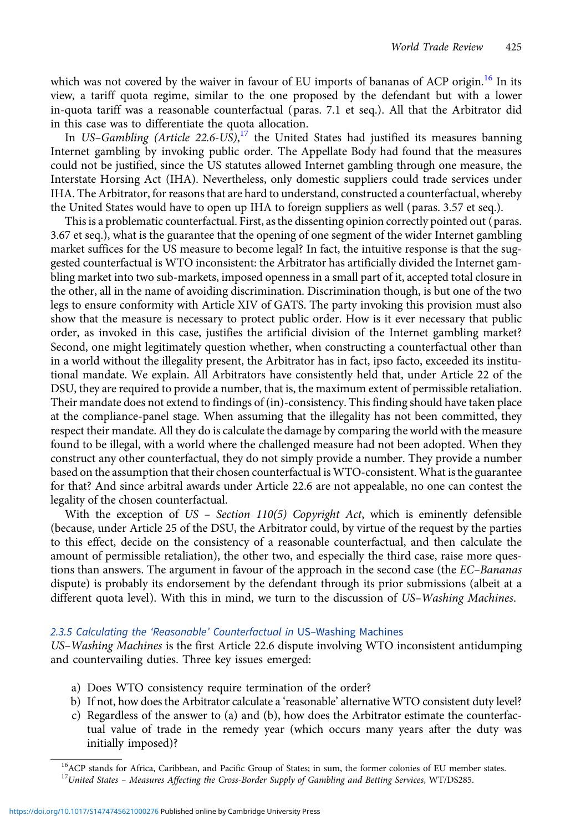which was not covered by the waiver in favour of EU imports of bananas of ACP origin.<sup>16</sup> In its view, a tariff quota regime, similar to the one proposed by the defendant but with a lower in-quota tariff was a reasonable counterfactual (paras. 7.1 et seq.). All that the Arbitrator did in this case was to differentiate the quota allocation.

In US-Gambling (Article 22.6-US),<sup>17</sup> the United States had justified its measures banning Internet gambling by invoking public order. The Appellate Body had found that the measures could not be justified, since the US statutes allowed Internet gambling through one measure, the Interstate Horsing Act (IHA). Nevertheless, only domestic suppliers could trade services under IHA. The Arbitrator, for reasons that are hard to understand, constructed a counterfactual, whereby the United States would have to open up IHA to foreign suppliers as well (paras. 3.57 et seq.).

This is a problematic counterfactual. First, as the dissenting opinion correctly pointed out (paras. 3.67 et seq.), what is the guarantee that the opening of one segment of the wider Internet gambling market suffices for the US measure to become legal? In fact, the intuitive response is that the suggested counterfactual is WTO inconsistent: the Arbitrator has artificially divided the Internet gambling market into two sub-markets, imposed openness in a small part of it, accepted total closure in the other, all in the name of avoiding discrimination. Discrimination though, is but one of the two legs to ensure conformity with Article XIV of GATS. The party invoking this provision must also show that the measure is necessary to protect public order. How is it ever necessary that public order, as invoked in this case, justifies the artificial division of the Internet gambling market? Second, one might legitimately question whether, when constructing a counterfactual other than in a world without the illegality present, the Arbitrator has in fact, ipso facto, exceeded its institutional mandate. We explain. All Arbitrators have consistently held that, under Article 22 of the DSU, they are required to provide a number, that is, the maximum extent of permissible retaliation. Their mandate does not extend to findings of (in)-consistency. This finding should have taken place at the compliance-panel stage. When assuming that the illegality has not been committed, they respect their mandate. All they do is calculate the damage by comparing the world with the measure found to be illegal, with a world where the challenged measure had not been adopted. When they construct any other counterfactual, they do not simply provide a number. They provide a number based on the assumption that their chosen counterfactual is WTO-consistent. What is the guarantee for that? And since arbitral awards under Article 22.6 are not appealable, no one can contest the legality of the chosen counterfactual.

With the exception of  $US$  – Section 110(5) Copyright Act, which is eminently defensible (because, under Article 25 of the DSU, the Arbitrator could, by virtue of the request by the parties to this effect, decide on the consistency of a reasonable counterfactual, and then calculate the amount of permissible retaliation), the other two, and especially the third case, raise more questions than answers. The argument in favour of the approach in the second case (the EC–Bananas dispute) is probably its endorsement by the defendant through its prior submissions (albeit at a different quota level). With this in mind, we turn to the discussion of US–Washing Machines.

# 2.3.5 Calculating the 'Reasonable' Counterfactual in US–Washing Machines

US–Washing Machines is the first Article 22.6 dispute involving WTO inconsistent antidumping and countervailing duties. Three key issues emerged:

- a) Does WTO consistency require termination of the order?
- b) If not, how does the Arbitrator calculate a 'reasonable' alternative WTO consistent duty level?
- c) Regardless of the answer to (a) and (b), how does the Arbitrator estimate the counterfactual value of trade in the remedy year (which occurs many years after the duty was initially imposed)?

<sup>&</sup>lt;sup>16</sup>ACP stands for Africa, Caribbean, and Pacific Group of States; in sum, the former colonies of EU member states. <sup>17</sup>United States - Measures Affecting the Cross-Border Supply of Gambling and Betting Services, WT/DS285.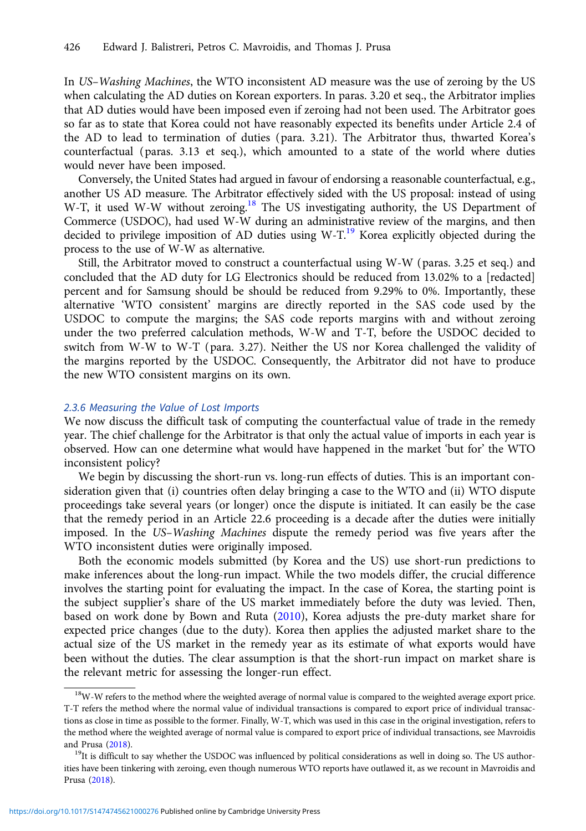In US–Washing Machines, the WTO inconsistent AD measure was the use of zeroing by the US when calculating the AD duties on Korean exporters. In paras. 3.20 et seq., the Arbitrator implies that AD duties would have been imposed even if zeroing had not been used. The Arbitrator goes so far as to state that Korea could not have reasonably expected its benefits under Article 2.4 of the AD to lead to termination of duties (para. 3.21). The Arbitrator thus, thwarted Korea's counterfactual (paras. 3.13 et seq.), which amounted to a state of the world where duties would never have been imposed.

Conversely, the United States had argued in favour of endorsing a reasonable counterfactual, e.g., another US AD measure. The Arbitrator effectively sided with the US proposal: instead of using W-T, it used W-W without zeroing.<sup>18</sup> The US investigating authority, the US Department of Commerce (USDOC), had used W-W during an administrative review of the margins, and then decided to privilege imposition of AD duties using  $W-T$ <sup>19</sup> Korea explicitly objected during the process to the use of W-W as alternative.

Still, the Arbitrator moved to construct a counterfactual using W-W (paras. 3.25 et seq.) and concluded that the AD duty for LG Electronics should be reduced from 13.02% to a [redacted] percent and for Samsung should be should be reduced from 9.29% to 0%. Importantly, these alternative 'WTO consistent' margins are directly reported in the SAS code used by the USDOC to compute the margins; the SAS code reports margins with and without zeroing under the two preferred calculation methods, W-W and T-T, before the USDOC decided to switch from W-W to W-T (para. 3.27). Neither the US nor Korea challenged the validity of the margins reported by the USDOC. Consequently, the Arbitrator did not have to produce the new WTO consistent margins on its own.

# 2.3.6 Measuring the Value of Lost Imports

We now discuss the difficult task of computing the counterfactual value of trade in the remedy year. The chief challenge for the Arbitrator is that only the actual value of imports in each year is observed. How can one determine what would have happened in the market 'but for' the WTO inconsistent policy?

We begin by discussing the short-run vs. long-run effects of duties. This is an important consideration given that (i) countries often delay bringing a case to the WTO and (ii) WTO dispute proceedings take several years (or longer) once the dispute is initiated. It can easily be the case that the remedy period in an Article 22.6 proceeding is a decade after the duties were initially imposed. In the US–Washing Machines dispute the remedy period was five years after the WTO inconsistent duties were originally imposed.

Both the economic models submitted (by Korea and the US) use short-run predictions to make inferences about the long-run impact. While the two models differ, the crucial difference involves the starting point for evaluating the impact. In the case of Korea, the starting point is the subject supplier's share of the US market immediately before the duty was levied. Then, based on work done by Bown and Ruta ([2010](#page-14-0)), Korea adjusts the pre-duty market share for expected price changes (due to the duty). Korea then applies the adjusted market share to the actual size of the US market in the remedy year as its estimate of what exports would have been without the duties. The clear assumption is that the short-run impact on market share is the relevant metric for assessing the longer-run effect.

<sup>&</sup>lt;sup>18</sup>W-W refers to the method where the weighted average of normal value is compared to the weighted average export price. T-T refers the method where the normal value of individual transactions is compared to export price of individual transactions as close in time as possible to the former. Finally, W-T, which was used in this case in the original investigation, refers to the method where the weighted average of normal value is compared to export price of individual transactions, see Mavroidis and Prusa ([2018](#page-14-0)). 19It is difficult to say whether the USDOC was influenced by political considerations as well in doing so. The US author-<br> $19$ It is difficult to say whether the USDOC was influenced by political consider

ities have been tinkering with zeroing, even though numerous WTO reports have outlawed it, as we recount in Mavroidis and Prusa [\(2018](#page-14-0)).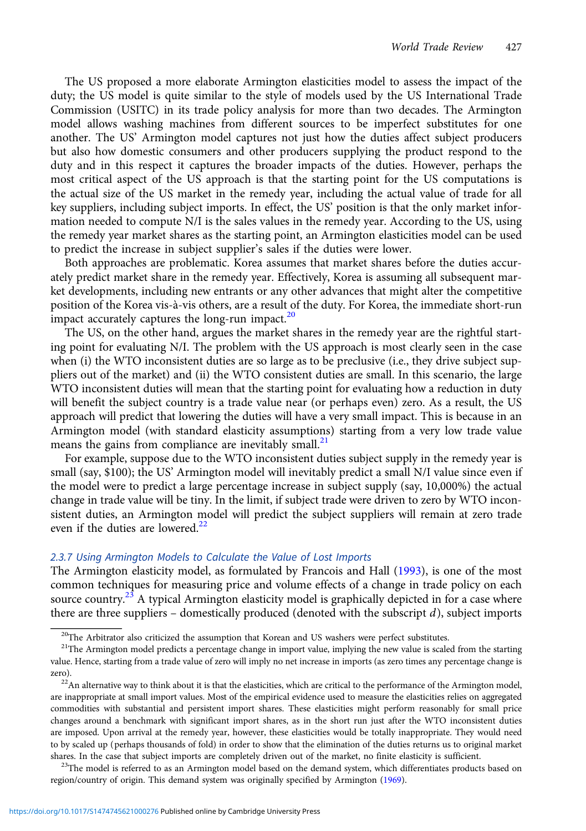The US proposed a more elaborate Armington elasticities model to assess the impact of the duty; the US model is quite similar to the style of models used by the US International Trade Commission (USITC) in its trade policy analysis for more than two decades. The Armington model allows washing machines from different sources to be imperfect substitutes for one another. The US' Armington model captures not just how the duties affect subject producers but also how domestic consumers and other producers supplying the product respond to the duty and in this respect it captures the broader impacts of the duties. However, perhaps the most critical aspect of the US approach is that the starting point for the US computations is the actual size of the US market in the remedy year, including the actual value of trade for all key suppliers, including subject imports. In effect, the US' position is that the only market information needed to compute N/I is the sales values in the remedy year. According to the US, using the remedy year market shares as the starting point, an Armington elasticities model can be used to predict the increase in subject supplier's sales if the duties were lower.

Both approaches are problematic. Korea assumes that market shares before the duties accurately predict market share in the remedy year. Effectively, Korea is assuming all subsequent market developments, including new entrants or any other advances that might alter the competitive position of the Korea vis-à-vis others, are a result of the duty. For Korea, the immediate short-run impact accurately captures the long-run impact. $20$ 

The US, on the other hand, argues the market shares in the remedy year are the rightful starting point for evaluating N/I. The problem with the US approach is most clearly seen in the case when (i) the WTO inconsistent duties are so large as to be preclusive (i.e., they drive subject suppliers out of the market) and (ii) the WTO consistent duties are small. In this scenario, the large WTO inconsistent duties will mean that the starting point for evaluating how a reduction in duty will benefit the subject country is a trade value near (or perhaps even) zero. As a result, the US approach will predict that lowering the duties will have a very small impact. This is because in an Armington model (with standard elasticity assumptions) starting from a very low trade value means the gains from compliance are inevitably small. $21$ 

For example, suppose due to the WTO inconsistent duties subject supply in the remedy year is small (say, \$100); the US' Armington model will inevitably predict a small N/I value since even if the model were to predict a large percentage increase in subject supply (say, 10,000%) the actual change in trade value will be tiny. In the limit, if subject trade were driven to zero by WTO inconsistent duties, an Armington model will predict the subject suppliers will remain at zero trade even if the duties are lowered. $22$ 

## 2.3.7 Using Armington Models to Calculate the Value of Lost Imports

The Armington elasticity model, as formulated by Francois and Hall ([1993\)](#page-14-0), is one of the most common techniques for measuring price and volume effects of a change in trade policy on each source country.<sup>23</sup> A typical Armington elasticity model is graphically depicted in for a case where there are three suppliers – domestically produced (denoted with the subscript  $d$ ), subject imports

 $20$ The Arbitrator also criticized the assumption that Korean and US washers were perfect substitutes.

<sup>&</sup>lt;sup>21</sup>The Armington model predicts a percentage change in import value, implying the new value is scaled from the starting value. Hence, starting from a trade value of zero will imply no net increase in imports (as zero times any percentage change is zero).<br><sup>22</sup>An alternative way to think about it is that the elasticities, which are critical to the performance of the Armington model,

are inappropriate at small import values. Most of the empirical evidence used to measure the elasticities relies on aggregated commodities with substantial and persistent import shares. These elasticities might perform reasonably for small price changes around a benchmark with significant import shares, as in the short run just after the WTO inconsistent duties are imposed. Upon arrival at the remedy year, however, these elasticities would be totally inappropriate. They would need to by scaled up (perhaps thousands of fold) in order to show that the elimination of the duties returns us to original market shares. In the case that subject imports are completely driven out of the market, no finite elasticity is sufficient.<br><sup>23</sup>The model is referred to as an Armington model based on the demand system, which differentiates prod

region/country of origin. This demand system was originally specified by Armington ([1969](#page-14-0)).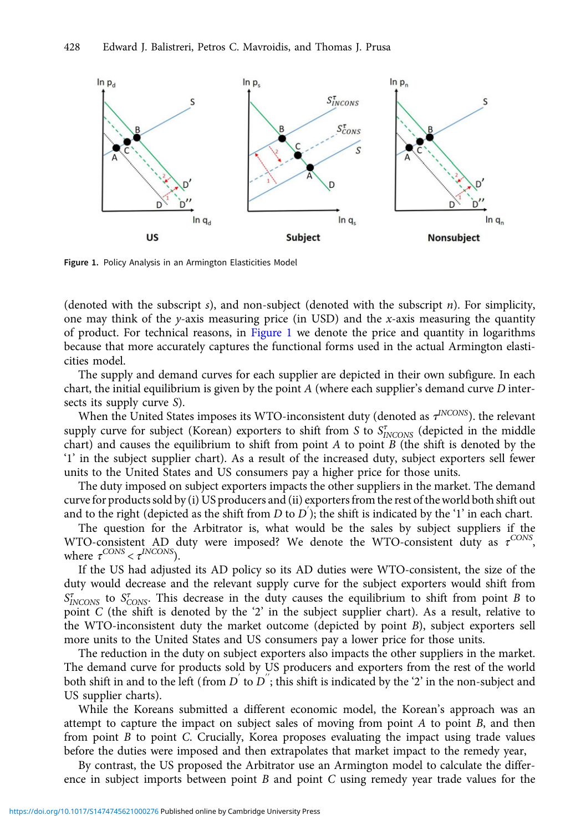

Figure 1. Policy Analysis in an Armington Elasticities Model

(denoted with the subscript  $s$ ), and non-subject (denoted with the subscript  $n$ ). For simplicity, one may think of the y-axis measuring price (in USD) and the x-axis measuring the quantity of product. For technical reasons, in Figure 1 we denote the price and quantity in logarithms because that more accurately captures the functional forms used in the actual Armington elasticities model.

The supply and demand curves for each supplier are depicted in their own subfigure. In each chart, the initial equilibrium is given by the point  $A$  (where each supplier's demand curve  $D$  intersects its supply curve S).

When the United States imposes its WTO-inconsistent duty (denoted as  $\tau^{INCONS}$ ). the relevant supply curve for subject (Korean) exporters to shift from S to  $S_{INCONS}^{\tau}$  (depicted in the middle chart) and causes the equilibrium to shift from point  $A$  to point  $B$  (the shift is denoted by the '1' in the subject supplier chart). As a result of the increased duty, subject exporters sell fewer units to the United States and US consumers pay a higher price for those units.

The duty imposed on subject exporters impacts the other suppliers in the market. The demand curve for products sold by (i) US producers and (ii) exporters from the rest of theworld both shift out and to the right (depicted as the shift from  $D$  to  $D^{'}$ ); the shift is indicated by the '1' in each chart.

The question for the Arbitrator is, what would be the sales by subject suppliers if the WTO-consistent AD duty were imposed? We denote the WTO-consistent duty as  $\tau^{\text{CONS}}$ , where  $\tau^{CONS} < \tau^{INCONS}$ ).

If the US had adjusted its AD policy so its AD duties were WTO-consistent, the size of the duty would decrease and the relevant supply curve for the subject exporters would shift from  $S_{INCONS}^{\tau}$  to  $S_{CONS}^{\tau}$ . This decrease in the duty causes the equilibrium to shift from point B to point C (the shift is denoted by the '2' in the subject supplier chart). As a result, relative to the WTO-inconsistent duty the market outcome (depicted by point B), subject exporters sell more units to the United States and US consumers pay a lower price for those units.

The reduction in the duty on subject exporters also impacts the other suppliers in the market. The demand curve for products sold by US producers and exporters from the rest of the world both shift in and to the left (from  $D^{'}$  to  $D^{''}$ ; this shift is indicated by the '2' in the non-subject and US supplier charts).

While the Koreans submitted a different economic model, the Korean's approach was an attempt to capture the impact on subject sales of moving from point  $A$  to point  $B$ , and then from point B to point C. Crucially, Korea proposes evaluating the impact using trade values before the duties were imposed and then extrapolates that market impact to the remedy year,

By contrast, the US proposed the Arbitrator use an Armington model to calculate the difference in subject imports between point  $B$  and point  $C$  using remedy year trade values for the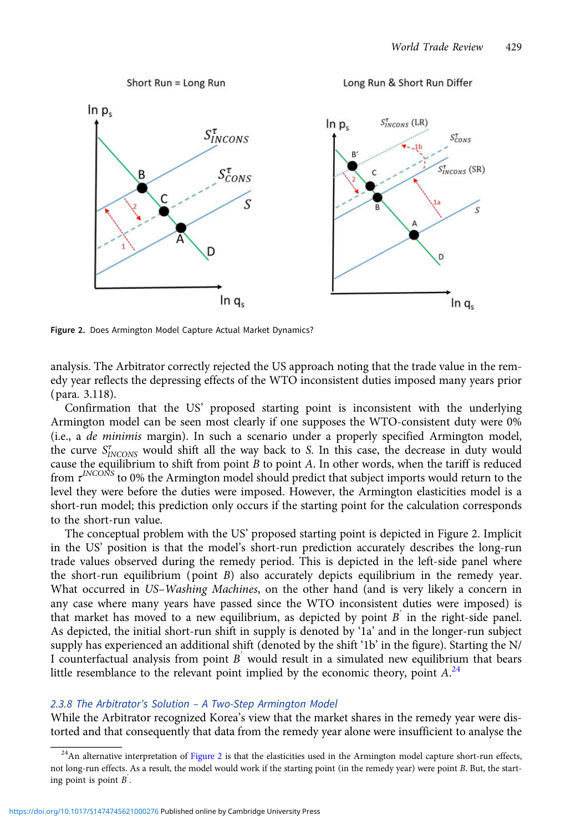

Figure 2. Does Armington Model Capture Actual Market Dynamics?

analysis. The Arbitrator correctly rejected the US approach noting that the trade value in the remedy year reflects the depressing effects of the WTO inconsistent duties imposed many years prior (para. 3.118).

Confirmation that the US' proposed starting point is inconsistent with the underlying Armington model can be seen most clearly if one supposes the WTO-consistent duty were 0% (i.e., a de minimis margin). In such a scenario under a properly specified Armington model, the curve  $S_{INCONS}^{\tau}$  would shift all the way back to S. In this case, the decrease in duty would cause the equilibrium to shift from point  $B$  to point  $A$ . In other words, when the tariff is reduced from  $\tau^{INCONS}$  to 0% the Armington model should predict that subject imports would return to the level they were before the duties were imposed. However, the Armington elasticities model is a short-run model; this prediction only occurs if the starting point for the calculation corresponds to the short-run value.

The conceptual problem with the US' proposed starting point is depicted in Figure 2. Implicit in the US' position is that the model's short-run prediction accurately describes the long-run trade values observed during the remedy period. This is depicted in the left-side panel where the short-run equilibrium (point B) also accurately depicts equilibrium in the remedy year. What occurred in US-Washing Machines, on the other hand (and is very likely a concern in any case where many years have passed since the WTO inconsistent duties were imposed) is that market has moved to a new equilibrium, as depicted by point  $B^{'}$  in the right-side panel. As depicted, the initial short-run shift in supply is denoted by '1a' and in the longer-run subject supply has experienced an additional shift (denoted by the shift '1b' in the figure). Starting the N/ I counterfactual analysis from point  $B^{'}$  would result in a simulated new equilibrium that bears little resemblance to the relevant point implied by the economic theory, point  $A<sup>24</sup>$ 

## 2.3.8 The Arbitrator's Solution – A Two-Step Armington Model

While the Arbitrator recognized Korea's view that the market shares in the remedy year were distorted and that consequently that data from the remedy year alone were insufficient to analyse the

 $^{24}$ An alternative interpretation of Figure 2 is that the elasticities used in the Armington model capture short-run effects, not long-run effects. As a result, the model would work if the starting point (in the remedy year) were point B. But, the starting point is point  $B$ .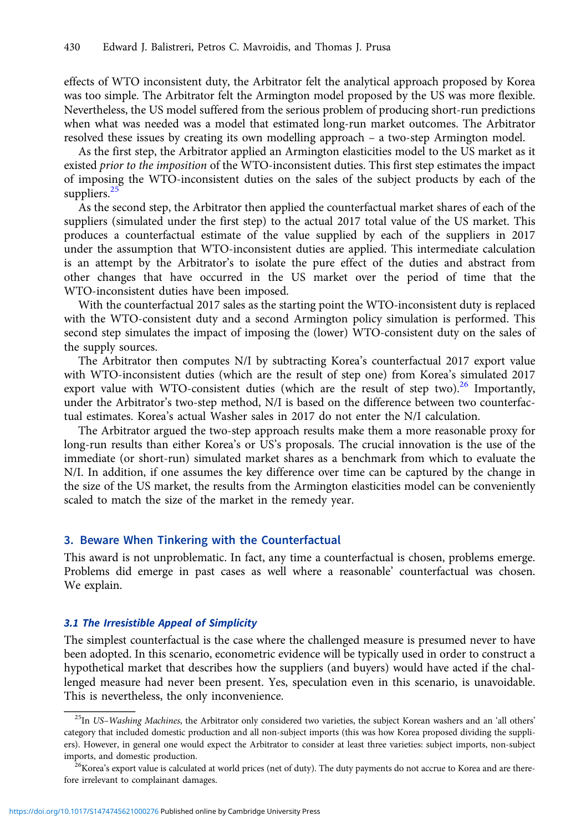<span id="page-9-0"></span>effects of WTO inconsistent duty, the Arbitrator felt the analytical approach proposed by Korea was too simple. The Arbitrator felt the Armington model proposed by the US was more flexible. Nevertheless, the US model suffered from the serious problem of producing short-run predictions when what was needed was a model that estimated long-run market outcomes. The Arbitrator resolved these issues by creating its own modelling approach – a two-step Armington model.

As the first step, the Arbitrator applied an Armington elasticities model to the US market as it existed prior to the imposition of the WTO-inconsistent duties. This first step estimates the impact of imposing the WTO-inconsistent duties on the sales of the subject products by each of the suppliers.<sup>25</sup>

As the second step, the Arbitrator then applied the counterfactual market shares of each of the suppliers (simulated under the first step) to the actual 2017 total value of the US market. This produces a counterfactual estimate of the value supplied by each of the suppliers in 2017 under the assumption that WTO-inconsistent duties are applied. This intermediate calculation is an attempt by the Arbitrator's to isolate the pure effect of the duties and abstract from other changes that have occurred in the US market over the period of time that the WTO-inconsistent duties have been imposed.

With the counterfactual 2017 sales as the starting point the WTO-inconsistent duty is replaced with the WTO-consistent duty and a second Armington policy simulation is performed. This second step simulates the impact of imposing the (lower) WTO-consistent duty on the sales of the supply sources.

The Arbitrator then computes N/I by subtracting Korea's counterfactual 2017 export value with WTO-inconsistent duties (which are the result of step one) from Korea's simulated 2017 export value with WTO-consistent duties (which are the result of step two).<sup>26</sup> Importantly, under the Arbitrator's two-step method, N/I is based on the difference between two counterfactual estimates. Korea's actual Washer sales in 2017 do not enter the N/I calculation.

The Arbitrator argued the two-step approach results make them a more reasonable proxy for long-run results than either Korea's or US's proposals. The crucial innovation is the use of the immediate (or short-run) simulated market shares as a benchmark from which to evaluate the N/I. In addition, if one assumes the key difference over time can be captured by the change in the size of the US market, the results from the Armington elasticities model can be conveniently scaled to match the size of the market in the remedy year.

# 3. Beware When Tinkering with the Counterfactual

This award is not unproblematic. In fact, any time a counterfactual is chosen, problems emerge. Problems did emerge in past cases as well where a reasonable' counterfactual was chosen. We explain.

# 3.1 The Irresistible Appeal of Simplicity

The simplest counterfactual is the case where the challenged measure is presumed never to have been adopted. In this scenario, econometric evidence will be typically used in order to construct a hypothetical market that describes how the suppliers (and buyers) would have acted if the challenged measure had never been present. Yes, speculation even in this scenario, is unavoidable. This is nevertheless, the only inconvenience.

 $^{25}$ In US-Washing Machines, the Arbitrator only considered two varieties, the subject Korean washers and an 'all others' category that included domestic production and all non-subject imports (this was how Korea proposed dividing the suppliers). However, in general one would expect the Arbitrator to consider at least three varieties: subject imports, non-subject imports, and domestic production.<br><sup>26</sup>Korea's export value is calculated at world prices (net of duty). The duty payments do not accrue to Korea and are there-

fore irrelevant to complainant damages.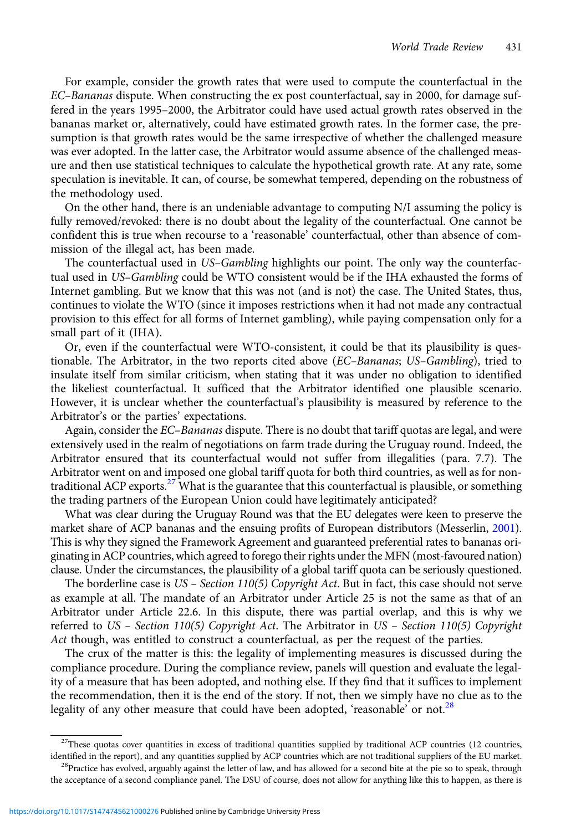For example, consider the growth rates that were used to compute the counterfactual in the EC–Bananas dispute. When constructing the ex post counterfactual, say in 2000, for damage suffered in the years 1995–2000, the Arbitrator could have used actual growth rates observed in the bananas market or, alternatively, could have estimated growth rates. In the former case, the presumption is that growth rates would be the same irrespective of whether the challenged measure was ever adopted. In the latter case, the Arbitrator would assume absence of the challenged measure and then use statistical techniques to calculate the hypothetical growth rate. At any rate, some speculation is inevitable. It can, of course, be somewhat tempered, depending on the robustness of the methodology used.

On the other hand, there is an undeniable advantage to computing N/I assuming the policy is fully removed/revoked: there is no doubt about the legality of the counterfactual. One cannot be confident this is true when recourse to a 'reasonable' counterfactual, other than absence of commission of the illegal act, has been made.

The counterfactual used in US–Gambling highlights our point. The only way the counterfactual used in US-Gambling could be WTO consistent would be if the IHA exhausted the forms of Internet gambling. But we know that this was not (and is not) the case. The United States, thus, continues to violate the WTO (since it imposes restrictions when it had not made any contractual provision to this effect for all forms of Internet gambling), while paying compensation only for a small part of it (IHA).

Or, even if the counterfactual were WTO-consistent, it could be that its plausibility is questionable. The Arbitrator, in the two reports cited above (EC-Bananas; US-Gambling), tried to insulate itself from similar criticism, when stating that it was under no obligation to identified the likeliest counterfactual. It sufficed that the Arbitrator identified one plausible scenario. However, it is unclear whether the counterfactual's plausibility is measured by reference to the Arbitrator's or the parties' expectations.

Again, consider the EC–Bananas dispute. There is no doubt that tariff quotas are legal, and were extensively used in the realm of negotiations on farm trade during the Uruguay round. Indeed, the Arbitrator ensured that its counterfactual would not suffer from illegalities (para. 7.7). The Arbitrator went on and imposed one global tariff quota for both third countries, as well as for nontraditional ACP exports.<sup>27</sup> What is the guarantee that this counterfactual is plausible, or something the trading partners of the European Union could have legitimately anticipated?

What was clear during the Uruguay Round was that the EU delegates were keen to preserve the market share of ACP bananas and the ensuing profits of European distributors (Messerlin, [2001\)](#page-14-0). This is why they signed the Framework Agreement and guaranteed preferential rates to bananas originating in ACP countries, which agreed to forego their rights under the MFN (most-favoured nation) clause. Under the circumstances, the plausibility of a global tariff quota can be seriously questioned.

The borderline case is US – Section 110(5) Copyright Act. But in fact, this case should not serve as example at all. The mandate of an Arbitrator under Article 25 is not the same as that of an Arbitrator under Article 22.6. In this dispute, there was partial overlap, and this is why we referred to US – Section 110(5) Copyright Act. The Arbitrator in US – Section 110(5) Copyright Act though, was entitled to construct a counterfactual, as per the request of the parties.

The crux of the matter is this: the legality of implementing measures is discussed during the compliance procedure. During the compliance review, panels will question and evaluate the legality of a measure that has been adopted, and nothing else. If they find that it suffices to implement the recommendation, then it is the end of the story. If not, then we simply have no clue as to the legality of any other measure that could have been adopted, 'reasonable' or not.<sup>28</sup>

 $27$ These quotas cover quantities in excess of traditional quantities supplied by traditional ACP countries (12 countries, identified in the report), and any quantities supplied by ACP countries which are not traditional suppliers of the EU market.<br><sup>28</sup>Practice has evolved, arguably against the letter of law, and has allowed for a second bite

the acceptance of a second compliance panel. The DSU of course, does not allow for anything like this to happen, as there is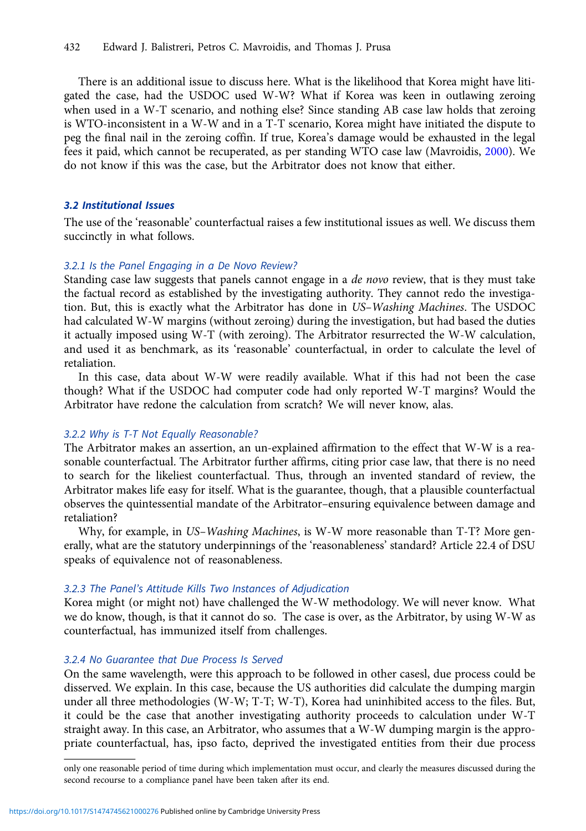There is an additional issue to discuss here. What is the likelihood that Korea might have litigated the case, had the USDOC used W-W? What if Korea was keen in outlawing zeroing when used in a W-T scenario, and nothing else? Since standing AB case law holds that zeroing is WTO-inconsistent in a W-W and in a T-T scenario, Korea might have initiated the dispute to peg the final nail in the zeroing coffin. If true, Korea's damage would be exhausted in the legal fees it paid, which cannot be recuperated, as per standing WTO case law (Mavroidis, [2000\)](#page-14-0). We do not know if this was the case, but the Arbitrator does not know that either.

# 3.2 Institutional Issues

The use of the 'reasonable' counterfactual raises a few institutional issues as well. We discuss them succinctly in what follows.

## 3.2.1 Is the Panel Engaging in a De Novo Review?

Standing case law suggests that panels cannot engage in a *de novo* review, that is they must take the factual record as established by the investigating authority. They cannot redo the investigation. But, this is exactly what the Arbitrator has done in US–Washing Machines. The USDOC had calculated W-W margins (without zeroing) during the investigation, but had based the duties it actually imposed using W-T (with zeroing). The Arbitrator resurrected the W-W calculation, and used it as benchmark, as its 'reasonable' counterfactual, in order to calculate the level of retaliation.

In this case, data about W-W were readily available. What if this had not been the case though? What if the USDOC had computer code had only reported W-T margins? Would the Arbitrator have redone the calculation from scratch? We will never know, alas.

## 3.2.2 Why is T-T Not Equally Reasonable?

The Arbitrator makes an assertion, an un-explained affirmation to the effect that W-W is a reasonable counterfactual. The Arbitrator further affirms, citing prior case law, that there is no need to search for the likeliest counterfactual. Thus, through an invented standard of review, the Arbitrator makes life easy for itself. What is the guarantee, though, that a plausible counterfactual observes the quintessential mandate of the Arbitrator–ensuring equivalence between damage and retaliation?

Why, for example, in US-Washing Machines, is W-W more reasonable than T-T? More generally, what are the statutory underpinnings of the 'reasonableness' standard? Article 22.4 of DSU speaks of equivalence not of reasonableness.

# 3.2.3 The Panel's Attitude Kills Two Instances of Adjudication

Korea might (or might not) have challenged the W-W methodology. We will never know. What we do know, though, is that it cannot do so. The case is over, as the Arbitrator, by using W-W as counterfactual, has immunized itself from challenges.

## 3.2.4 No Guarantee that Due Process Is Served

On the same wavelength, were this approach to be followed in other casesl, due process could be disserved. We explain. In this case, because the US authorities did calculate the dumping margin under all three methodologies (W-W; T-T; W-T), Korea had uninhibited access to the files. But, it could be the case that another investigating authority proceeds to calculation under W-T straight away. In this case, an Arbitrator, who assumes that a W-W dumping margin is the appropriate counterfactual, has, ipso facto, deprived the investigated entities from their due process

only one reasonable period of time during which implementation must occur, and clearly the measures discussed during the second recourse to a compliance panel have been taken after its end.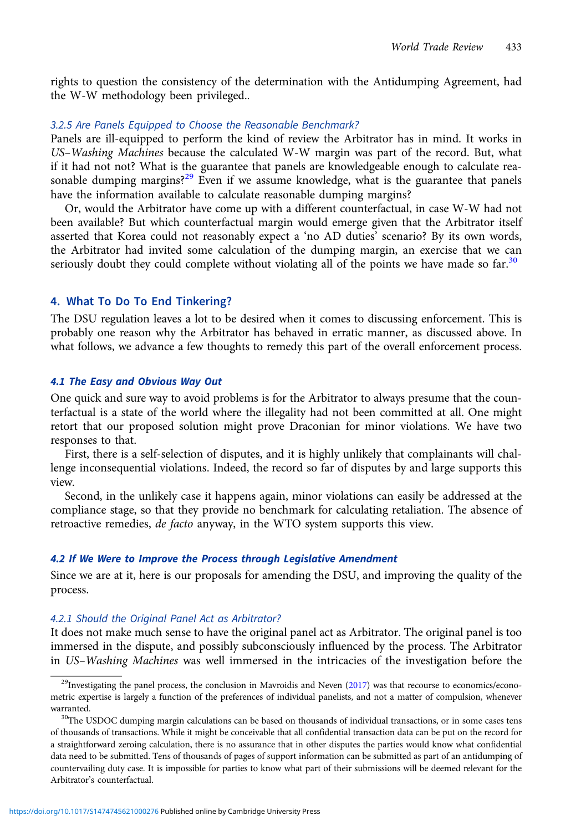<span id="page-12-0"></span>rights to question the consistency of the determination with the Antidumping Agreement, had the W-W methodology been privileged..

# 3.2.5 Are Panels Equipped to Choose the Reasonable Benchmark?

Panels are ill-equipped to perform the kind of review the Arbitrator has in mind. It works in US–Washing Machines because the calculated W-W margin was part of the record. But, what if it had not not? What is the guarantee that panels are knowledgeable enough to calculate reasonable dumping margins?<sup>29</sup> Even if we assume knowledge, what is the guarantee that panels have the information available to calculate reasonable dumping margins?

Or, would the Arbitrator have come up with a different counterfactual, in case W-W had not been available? But which counterfactual margin would emerge given that the Arbitrator itself asserted that Korea could not reasonably expect a 'no AD duties' scenario? By its own words, the Arbitrator had invited some calculation of the dumping margin, an exercise that we can seriously doubt they could complete without violating all of the points we have made so far.<sup>30</sup>

# 4. What To Do To End Tinkering?

The DSU regulation leaves a lot to be desired when it comes to discussing enforcement. This is probably one reason why the Arbitrator has behaved in erratic manner, as discussed above. In what follows, we advance a few thoughts to remedy this part of the overall enforcement process.

## 4.1 The Easy and Obvious Way Out

One quick and sure way to avoid problems is for the Arbitrator to always presume that the counterfactual is a state of the world where the illegality had not been committed at all. One might retort that our proposed solution might prove Draconian for minor violations. We have two responses to that.

First, there is a self-selection of disputes, and it is highly unlikely that complainants will challenge inconsequential violations. Indeed, the record so far of disputes by and large supports this view.

Second, in the unlikely case it happens again, minor violations can easily be addressed at the compliance stage, so that they provide no benchmark for calculating retaliation. The absence of retroactive remedies, de facto anyway, in the WTO system supports this view.

#### 4.2 If We Were to Improve the Process through Legislative Amendment

Since we are at it, here is our proposals for amending the DSU, and improving the quality of the process.

#### 4.2.1 Should the Original Panel Act as Arbitrator?

It does not make much sense to have the original panel act as Arbitrator. The original panel is too immersed in the dispute, and possibly subconsciously influenced by the process. The Arbitrator in US–Washing Machines was well immersed in the intricacies of the investigation before the

<sup>&</sup>lt;sup>29</sup>Investigating the panel process, the conclusion in Mavroidis and Neven  $(2017)$  $(2017)$  was that recourse to economics/econometric expertise is largely a function of the preferences of individual panelists, and not a matter of compulsion, whenever warranted.<br><sup>30</sup>The USDOC dumping margin calculations can be based on thousands of individual transactions, or in some cases tens

of thousands of transactions. While it might be conceivable that all confidential transaction data can be put on the record for a straightforward zeroing calculation, there is no assurance that in other disputes the parties would know what confidential data need to be submitted. Tens of thousands of pages of support information can be submitted as part of an antidumping of countervailing duty case. It is impossible for parties to know what part of their submissions will be deemed relevant for the Arbitrator's counterfactual.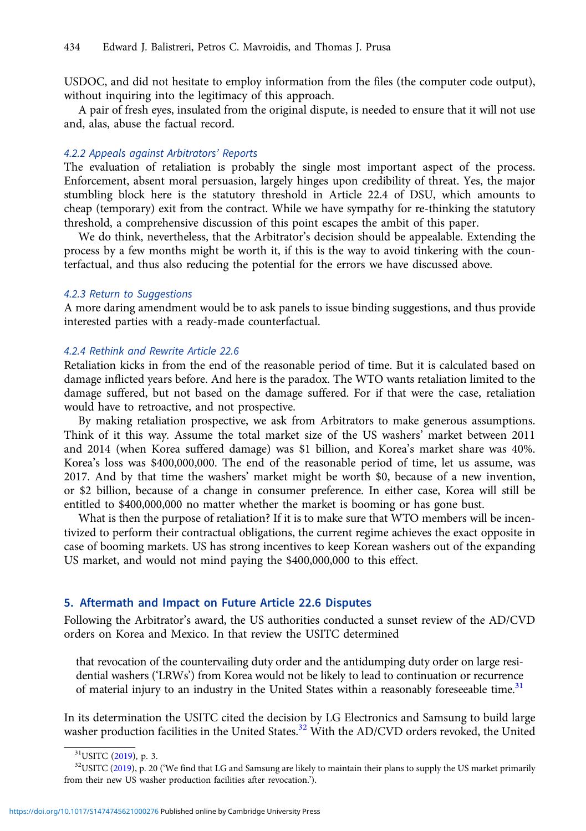<span id="page-13-0"></span>USDOC, and did not hesitate to employ information from the files (the computer code output), without inquiring into the legitimacy of this approach.

A pair of fresh eyes, insulated from the original dispute, is needed to ensure that it will not use and, alas, abuse the factual record.

# 4.2.2 Appeals against Arbitrators' Reports

The evaluation of retaliation is probably the single most important aspect of the process. Enforcement, absent moral persuasion, largely hinges upon credibility of threat. Yes, the major stumbling block here is the statutory threshold in Article 22.4 of DSU, which amounts to cheap (temporary) exit from the contract. While we have sympathy for re-thinking the statutory threshold, a comprehensive discussion of this point escapes the ambit of this paper.

We do think, nevertheless, that the Arbitrator's decision should be appealable. Extending the process by a few months might be worth it, if this is the way to avoid tinkering with the counterfactual, and thus also reducing the potential for the errors we have discussed above.

#### 4.2.3 Return to Suggestions

A more daring amendment would be to ask panels to issue binding suggestions, and thus provide interested parties with a ready-made counterfactual.

# 4.2.4 Rethink and Rewrite Article 22.6

Retaliation kicks in from the end of the reasonable period of time. But it is calculated based on damage inflicted years before. And here is the paradox. The WTO wants retaliation limited to the damage suffered, but not based on the damage suffered. For if that were the case, retaliation would have to retroactive, and not prospective.

By making retaliation prospective, we ask from Arbitrators to make generous assumptions. Think of it this way. Assume the total market size of the US washers' market between 2011 and 2014 (when Korea suffered damage) was \$1 billion, and Korea's market share was 40%. Korea's loss was \$400,000,000. The end of the reasonable period of time, let us assume, was 2017. And by that time the washers' market might be worth \$0, because of a new invention, or \$2 billion, because of a change in consumer preference. In either case, Korea will still be entitled to \$400,000,000 no matter whether the market is booming or has gone bust.

What is then the purpose of retaliation? If it is to make sure that WTO members will be incentivized to perform their contractual obligations, the current regime achieves the exact opposite in case of booming markets. US has strong incentives to keep Korean washers out of the expanding US market, and would not mind paying the \$400,000,000 to this effect.

# 5. Aftermath and Impact on Future Article 22.6 Disputes

Following the Arbitrator's award, the US authorities conducted a sunset review of the AD/CVD orders on Korea and Mexico. In that review the USITC determined

that revocation of the countervailing duty order and the antidumping duty order on large residential washers ('LRWs') from Korea would not be likely to lead to continuation or recurrence of material injury to an industry in the United States within a reasonably foreseeable time. $31$ 

In its determination the USITC cited the decision by LG Electronics and Samsung to build large washer production facilities in the United States.<sup>32</sup> With the AD/CVD orders revoked, the United

 $31$ USITC [\(2019](#page-14-0)), p. 3.<br> $32$ USITC [\(2019\)](#page-14-0), p. 20 ('We find that LG and Samsung are likely to maintain their plans to supply the US market primarily from their new US washer production facilities after revocation.').